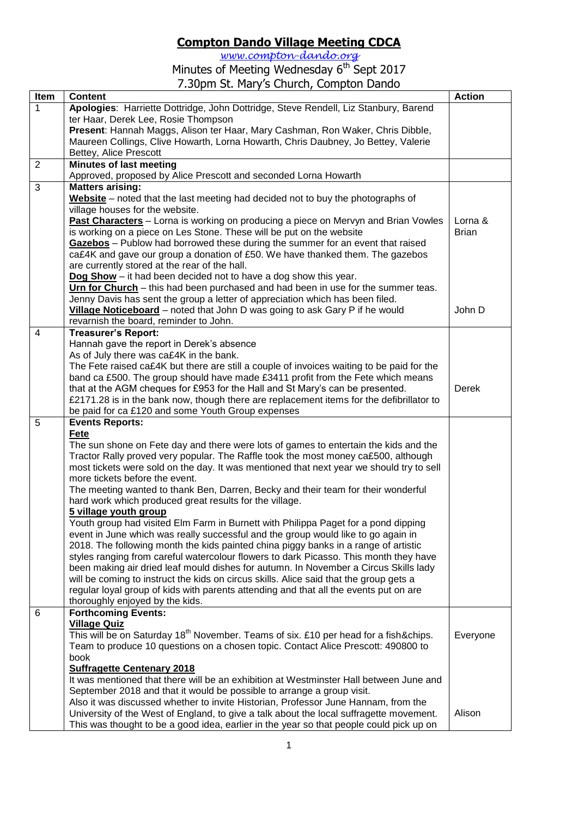## **Compton Dando Village Meeting CDCA**

*[www.compton-dando.org](http://www.compton-dando.org/)*

Minutes of Meeting Wednesday 6<sup>th</sup> Sept 2017 7.30pm St. Mary's Church, Compton Dando

| Item           | <b>Content</b>                                                                                   | <b>Action</b> |
|----------------|--------------------------------------------------------------------------------------------------|---------------|
| 1              | Apologies: Harriette Dottridge, John Dottridge, Steve Rendell, Liz Stanbury, Barend              |               |
|                | ter Haar, Derek Lee, Rosie Thompson                                                              |               |
|                | Present: Hannah Maggs, Alison ter Haar, Mary Cashman, Ron Waker, Chris Dibble,                   |               |
|                | Maureen Collings, Clive Howarth, Lorna Howarth, Chris Daubney, Jo Bettey, Valerie                |               |
|                | Bettey, Alice Prescott                                                                           |               |
| $\overline{2}$ | <b>Minutes of last meeting</b>                                                                   |               |
|                | Approved, proposed by Alice Prescott and seconded Lorna Howarth                                  |               |
| $\overline{3}$ | <b>Matters arising:</b>                                                                          |               |
|                | Website - noted that the last meeting had decided not to buy the photographs of                  |               |
|                | village houses for the website.                                                                  |               |
|                | Past Characters - Lorna is working on producing a piece on Mervyn and Brian Vowles               | Lorna &       |
|                | is working on a piece on Les Stone. These will be put on the website                             | <b>Brian</b>  |
|                | Gazebos - Publow had borrowed these during the summer for an event that raised                   |               |
|                | ca£4K and gave our group a donation of £50. We have thanked them. The gazebos                    |               |
|                | are currently stored at the rear of the hall.                                                    |               |
|                | $\log$ Show – it had been decided not to have a dog show this year.                              |               |
|                | Urn for Church – this had been purchased and had been in use for the summer teas.                |               |
|                | Jenny Davis has sent the group a letter of appreciation which has been filed.                    |               |
|                | Village Noticeboard - noted that John D was going to ask Gary P if he would                      | John D        |
|                | revarnish the board, reminder to John.                                                           |               |
| $\overline{4}$ | <b>Treasurer's Report:</b>                                                                       |               |
|                | Hannah gave the report in Derek's absence                                                        |               |
|                | As of July there was ca£4K in the bank.                                                          |               |
|                | The Fete raised ca£4K but there are still a couple of invoices waiting to be paid for the        |               |
|                | band ca £500. The group should have made £3411 profit from the Fete which means                  |               |
|                | that at the AGM cheques for £953 for the Hall and St Mary's can be presented.                    | Derek         |
|                | £2171.28 is in the bank now, though there are replacement items for the defibrillator to         |               |
|                | be paid for ca £120 and some Youth Group expenses                                                |               |
| 5              | <b>Events Reports:</b>                                                                           |               |
|                | Fete                                                                                             |               |
|                | The sun shone on Fete day and there were lots of games to entertain the kids and the             |               |
|                | Tractor Rally proved very popular. The Raffle took the most money ca£500, although               |               |
|                | most tickets were sold on the day. It was mentioned that next year we should try to sell         |               |
|                | more tickets before the event.                                                                   |               |
|                | The meeting wanted to thank Ben, Darren, Becky and their team for their wonderful                |               |
|                | hard work which produced great results for the village.                                          |               |
|                | 5 village youth group                                                                            |               |
|                | Youth group had visited Elm Farm in Burnett with Philippa Paget for a pond dipping               |               |
|                | event in June which was really successful and the group would like to go again in                |               |
|                | 2018. The following month the kids painted china piggy banks in a range of artistic              |               |
|                | styles ranging from careful watercolour flowers to dark Picasso. This month they have            |               |
|                | been making air dried leaf mould dishes for autumn. In November a Circus Skills lady             |               |
|                | will be coming to instruct the kids on circus skills. Alice said that the group gets a           |               |
|                | regular loyal group of kids with parents attending and that all the events put on are            |               |
|                | thoroughly enjoyed by the kids.                                                                  |               |
| 6              | <b>Forthcoming Events:</b>                                                                       |               |
|                | <b>Village Quiz</b>                                                                              |               |
|                | This will be on Saturday 18 <sup>th</sup> November. Teams of six. £10 per head for a fish&chips. | Everyone      |
|                | Team to produce 10 questions on a chosen topic. Contact Alice Prescott: 490800 to                |               |
|                | book                                                                                             |               |
|                | <b>Suffragette Centenary 2018</b>                                                                |               |
|                | It was mentioned that there will be an exhibition at Westminster Hall between June and           |               |
|                | September 2018 and that it would be possible to arrange a group visit.                           |               |
|                | Also it was discussed whether to invite Historian, Professor June Hannam, from the               |               |
|                | University of the West of England, to give a talk about the local suffragette movement.          | Alison        |
|                | This was thought to be a good idea, earlier in the year so that people could pick up on          |               |